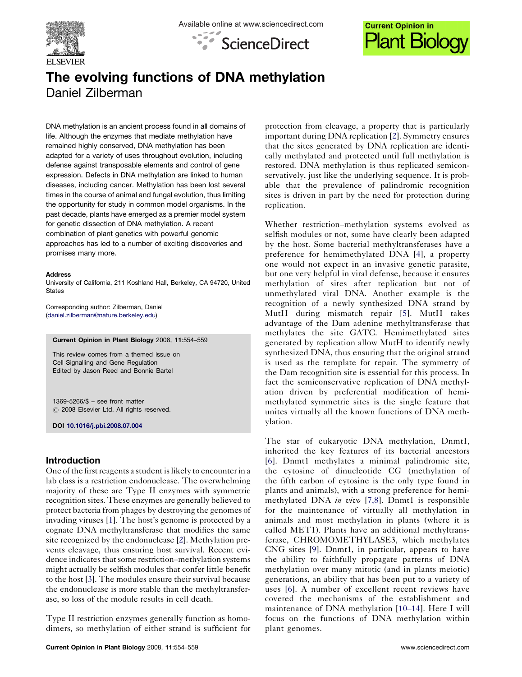





# The evolving functions of DNA methylation Daniel Zilberman

DNA methylation is an ancient process found in all domains of life. Although the enzymes that mediate methylation have remained highly conserved, DNA methylation has been adapted for a variety of uses throughout evolution, including defense against transposable elements and control of gene expression. Defects in DNA methylation are linked to human diseases, including cancer. Methylation has been lost several times in the course of animal and fungal evolution, thus limiting the opportunity for study in common model organisms. In the past decade, plants have emerged as a premier model system for genetic dissection of DNA methylation. A recent combination of plant genetics with powerful genomic approaches has led to a number of exciting discoveries and promises many more.

#### Address

University of California, 211 Koshland Hall, Berkeley, CA 94720, United **States** 

Corresponding author: Zilberman, Daniel ([daniel.zilberman@nature.berkeley.edu\)](mailto:daniel.zilberman@nature.berkeley.edu)

Current Opinion in Plant Biology 2008, 11:554–559

This review comes from a themed issue on Cell Signalling and Gene Regulation Edited by Jason Reed and Bonnie Bartel

1369-5266/\$ – see front matter  $\circ$  2008 Elsevier Ltd. All rights reserved.

DOI [10.1016/j.pbi.2008.07.004](http://dx.doi.org/10.1016/j.pbi.2008.07.004)

# Introduction

One of the first reagents a student is likely to encounter in a lab class is a restriction endonuclease. The overwhelming majority of these are Type II enzymes with symmetric recognition sites. These enzymes are generally believed to protect bacteria from phages by destroying the genomes of invading viruses [[1\]](#page-3-0). The host's genome is protected by a cognate DNA methyltransferase that modifies the same site recognized by the endonuclease [\[2](#page-3-0)]. Methylation prevents cleavage, thus ensuring host survival. Recent evidence indicates that some restriction–methylation systems might actually be selfish modules that confer little benefit to the host [\[3](#page-3-0)]. The modules ensure their survival because the endonuclease is more stable than the methyltransferase, so loss of the module results in cell death.

Type II restriction enzymes generally function as homodimers, so methylation of either strand is sufficient for

protection from cleavage, a property that is particularly important during DNA replication [\[2](#page-3-0)]. Symmetry ensures that the sites generated by DNA replication are identically methylated and protected until full methylation is restored. DNA methylation is thus replicated semiconservatively, just like the underlying sequence. It is probable that the prevalence of palindromic recognition sites is driven in part by the need for protection during replication.

Whether restriction–methylation systems evolved as selfish modules or not, some have clearly been adapted by the host. Some bacterial methyltransferases have a preference for hemimethylated DNA [[4\]](#page-3-0), a property one would not expect in an invasive genetic parasite, but one very helpful in viral defense, because it ensures methylation of sites after replication but not of unmethylated viral DNA. Another example is the recognition of a newly synthesized DNA strand by MutH during mismatch repair [[5\]](#page-3-0). MutH takes advantage of the Dam adenine methyltransferase that methylates the site GATC. Hemimethylated sites generated by replication allow MutH to identify newly synthesized DNA, thus ensuring that the original strand is used as the template for repair. The symmetry of the Dam recognition site is essential for this process. In fact the semiconservative replication of DNA methylation driven by preferential modification of hemimethylated symmetric sites is the single feature that unites virtually all the known functions of DNA methylation.

The star of eukaryotic DNA methylation, Dnmt1, inherited the key features of its bacterial ancestors [[6\]](#page-3-0). Dnmt1 methylates a minimal palindromic site, the cytosine of dinucleotide CG (methylation of the fifth carbon of cytosine is the only type found in plants and animals), with a strong preference for hemimethylated DNA in vivo [[7,8](#page-3-0)]. Dnmt1 is responsible for the maintenance of virtually all methylation in animals and most methylation in plants (where it is called MET1). Plants have an additional methyltransferase, CHROMOMETHYLASE3, which methylates CNG sites [\[9](#page-3-0)]. Dnmt1, in particular, appears to have the ability to faithfully propagate patterns of DNA methylation over many mitotic (and in plants meiotic) generations, an ability that has been put to a variety of uses [[6\]](#page-3-0). A number of excellent recent reviews have covered the mechanisms of the establishment and maintenance of DNA methylation [10–[14](#page-3-0)]. Here I will focus on the functions of DNA methylation within plant genomes.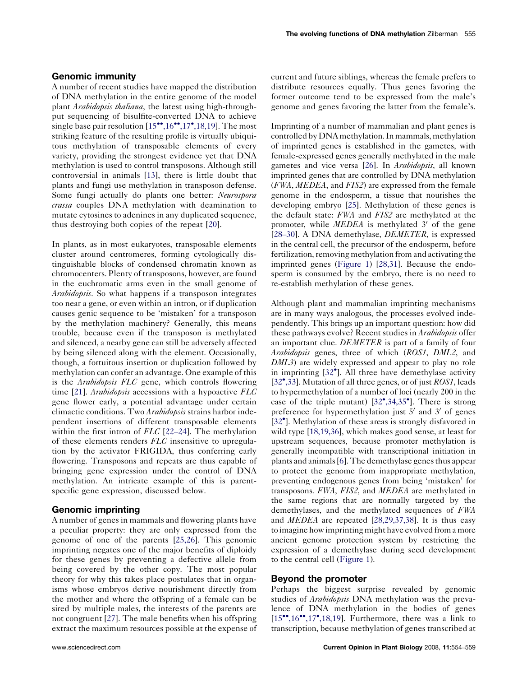### Genomic immunity

A number of recent studies have mapped the distribution of DNA methylation in the entire genome of the model plant Arabidopsis thaliana, the latest using high-throughput sequencing of bisulfite-converted DNA to achieve single base pair resolution [\[15](#page-4-0)\*[,16](#page-4-0)\*\*[,17](#page-4-0)\*[,18,19\]](#page-4-0). The most striking feature of the resulting profile is virtually ubiquitous methylation of transposable elements of every variety, providing the strongest evidence yet that DNA methylation is used to control transposons. Although still controversial in animals [\[13](#page-3-0)], there is little doubt that plants and fungi use methylation in transposon defense. Some fungi actually do plants one better: Neurospora crassa couples DNA methylation with deamination to mutate cytosines to adenines in any duplicated sequence, thus destroying both copies of the repeat [[20\]](#page-4-0).

In plants, as in most eukaryotes, transposable elements cluster around centromeres, forming cytologically distinguishable blocks of condensed chromatin known as chromocenters. Plenty of transposons, however, are found in the euchromatic arms even in the small genome of Arabidopsis. So what happens if a transposon integrates too near a gene, or even within an intron, or if duplication causes genic sequence to be 'mistaken' for a transposon by the methylation machinery? Generally, this means trouble, because even if the transposon is methylated and silenced, a nearby gene can still be adversely affected by being silenced along with the element. Occasionally, though, a fortuitous insertion or duplication followed by methylation can confer an advantage. One example of this is the Arabidopsis FLC gene, which controls flowering time [\[21](#page-4-0)]. Arabidopsis accessions with a hypoactive  $FLC$ gene flower early, a potential advantage under certain climactic conditions. Two *Arabidopsis* strains harbor independent insertions of different transposable elements within the first intron of *FLC* [\[22](#page-4-0)–24]. The methylation of these elements renders FLC insensitive to upregulation by the activator FRIGIDA, thus conferring early flowering. Transposons and repeats are thus capable of bringing gene expression under the control of DNA methylation. An intricate example of this is parentspecific gene expression, discussed below.

## Genomic imprinting

A number of genes in mammals and flowering plants have a peculiar property: they are only expressed from the genome of one of the parents [\[25,26\]](#page-4-0). This genomic imprinting negates one of the major benefits of diploidy for these genes by preventing a defective allele from being covered by the other copy. The most popular theory for why this takes place postulates that in organisms whose embryos derive nourishment directly from the mother and where the offspring of a female can be sired by multiple males, the interests of the parents are not congruent [[27](#page-4-0)]. The male benefits when his offspring extract the maximum resources possible at the expense of current and future siblings, whereas the female prefers to distribute resources equally. Thus genes favoring the former outcome tend to be expressed from the male's genome and genes favoring the latter from the female's.

Imprinting of a number of mammalian and plant genes is controlled by DNA methylation. In mammals, methylation of imprinted genes is established in the gametes, with female-expressed genes generally methylated in the male gametes and vice versa [\[26](#page-4-0)]. In *Arabidopsis*, all known imprinted genes that are controlled by DNA methylation (FWA, MEDEA, and FIS2) are expressed from the female genome in the endosperm, a tissue that nourishes the developing embryo [\[25](#page-4-0)]. Methylation of these genes is the default state: FWA and FIS2 are methylated at the promoter, while  $MEDEA$  is methylated 3' of the gene [\[28](#page-4-0)–30]. A DNA demethylase, *DEMETER*, is expressed in the central cell, the precursor of the endosperm, before fertilization, removing methylation from and activating the imprinted genes [\(Figure 1\)](#page-2-0) [[28,31\]](#page-4-0). Because the endosperm is consumed by the embryo, there is no need to re-establish methylation of these genes.

Although plant and mammalian imprinting mechanisms are in many ways analogous, the processes evolved independently. This brings up an important question: how did these pathways evolve? Recent studies in *Arabidopsis* offer an important clue. *DEMETER* is part of a family of four Arabidopsis genes, three of which (ROS1, DML2, and DML3) are widely expressed and appear to play no role in imprinting [[32](#page-4-0)<sup>°</sup>]. All three have demethylase activity [\[32](#page-4-0)\*[,33](#page-4-0)]. Mutation of all three genes, or of just ROS1, leads to hypermethylation of a number of loci (nearly 200 in the case of the triple mutant)  $[32^{\circ}, 34, 35^{\circ}]$  $[32^{\circ}, 34, 35^{\circ}]$  $[32^{\circ}, 34, 35^{\circ}]$ . There is strong preference for hypermethylation just  $5'$  and  $3'$  of genes [\[32](#page-4-0)<sup>\*</sup>]. Methylation of these areas is strongly disfavored in wild type [\[18,19,36\]](#page-4-0), which makes good sense, at least for upstream sequences, because promoter methylation is generally incompatible with transcriptional initiation in plants and animals [[6](#page-3-0)]. The demethylase genes thus appear to protect the genome from inappropriate methylation, preventing endogenous genes from being 'mistaken' for transposons. FWA, FIS2, and MEDEA are methylated in the same regions that are normally targeted by the demethylases, and the methylated sequences of FWA and MEDEA are repeated [\[28,29,37,38\]](#page-4-0). It is thus easy toimagine how imprinting might have evolved from a more ancient genome protection system by restricting the expression of a demethylase during seed development to the central cell ([Figure 1](#page-2-0)).

#### Beyond the promoter

Perhaps the biggest surprise revealed by genomic studies of *Arabidopsis* DNA methylation was the prevalence of DNA methylation in the bodies of genes [[15](#page-4-0)\*\*[,16](#page-4-0)\*\*[,17](#page-4-0)\*[,18,19](#page-4-0)]. Furthermore, there was a link to transcription, because methylation of genes transcribed at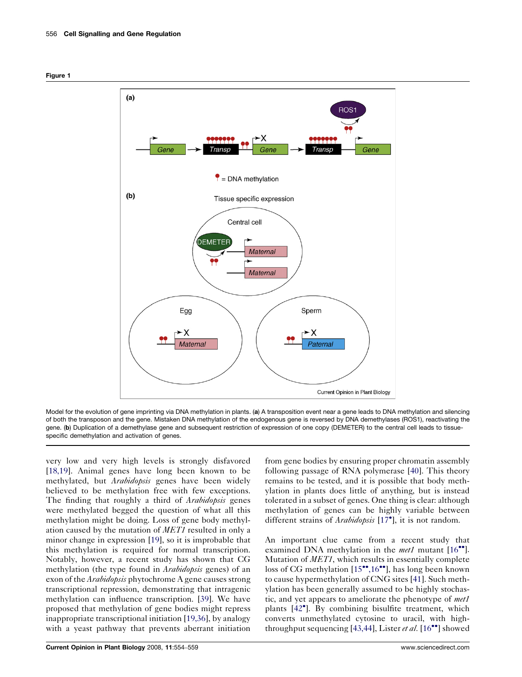<span id="page-2-0"></span>



Model for the evolution of gene imprinting via DNA methylation in plants. (a) A transposition event near a gene leads to DNA methylation and silencing of both the transposon and the gene. Mistaken DNA methylation of the endogenous gene is reversed by DNA demethylases (ROS1), reactivating the gene. (b) Duplication of a demethylase gene and subsequent restriction of expression of one copy (DEMETER) to the central cell leads to tissuespecific demethylation and activation of genes.

very low and very high levels is strongly disfavored [\[18,19\]](#page-4-0). Animal genes have long been known to be methylated, but *Arabidopsis* genes have been widely believed to be methylation free with few exceptions. The finding that roughly a third of *Arabidopsis* genes were methylated begged the question of what all this methylation might be doing. Loss of gene body methylation caused by the mutation of MET1 resulted in only a minor change in expression [\[19](#page-4-0)], so it is improbable that this methylation is required for normal transcription. Notably, however, a recent study has shown that CG methylation (the type found in *Arabidopsis* genes) of an exon of the *Arabidopsis* phytochrome A gene causes strong transcriptional repression, demonstrating that intragenic methylation can influence transcription. [\[39](#page-4-0)]. We have proposed that methylation of gene bodies might repress inappropriate transcriptional initiation [[19,36](#page-4-0)], by analogy with a yeast pathway that prevents aberrant initiation

from gene bodies by ensuring proper chromatin assembly following passage of RNA polymerase [[40\]](#page-4-0). This theory remains to be tested, and it is possible that body methylation in plants does little of anything, but is instead tolerated in a subset of genes. One thing is clear: although methylation of genes can be highly variable between different strains of Arabidopsis [\[17](#page-4-0)<sup>°</sup>], it is not random.

An important clue came from a recent study that examined DNA methylation in the met1 mutant [\[16](#page-4-0)<sup>••</sup>]. Mutation of MET1, which results in essentially complete loss of CG methylation [\[15](#page-4-0)\*[,16](#page-4-0)\*'], has long been known to cause hypermethylation of CNG sites [[41\]](#page-4-0). Such methylation has been generally assumed to be highly stochastic, and yet appears to ameliorate the phenotype of met1 plants [\[42](#page-4-0)<sup>°</sup>]. By combining bisulfite treatment, which converts unmethylated cytosine to uracil, with high-throughput sequencing [\[43,44\]](#page-4-0), Lister et al.  $[16\text{--}^{\bullet}]$  $[16\text{--}^{\bullet}]$  showed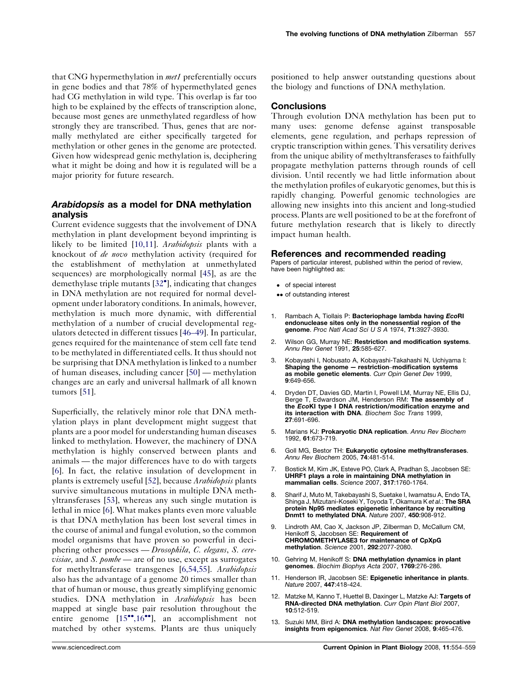<span id="page-3-0"></span>that CNG hypermethylation in *met1* preferentially occurs in gene bodies and that 78% of hypermethylated genes had CG methylation in wild type. This overlap is far too high to be explained by the effects of transcription alone, because most genes are unmethylated regardless of how strongly they are transcribed. Thus, genes that are normally methylated are either specifically targeted for methylation or other genes in the genome are protected. Given how widespread genic methylation is, deciphering what it might be doing and how it is regulated will be a major priority for future research.

### Arabidopsis as a model for DNA methylation analysis

Current evidence suggests that the involvement of DNA methylation in plant development beyond imprinting is likely to be limited [10,11]. Arabidopsis plants with a knockout of *de novo* methylation activity (required for the establishment of methylation at unmethylated sequences) are morphologically normal [[45\]](#page-4-0), as are the demethylase triple mutants [\[32](#page-4-0)<sup>\*</sup>], indicating that changes in DNA methylation are not required for normal development under laboratory conditions. In animals, however, methylation is much more dynamic, with differential methylation of a number of crucial developmental regulators detected in different tissues [\[46](#page-4-0)–49]. In particular, genes required for the maintenance of stem cell fate tend to be methylated in differentiated cells. It thus should not be surprising that DNA methylation is linked to a number of human diseases, including cancer [[50\]](#page-5-0) — methylation changes are an early and universal hallmark of all known tumors [[51\]](#page-5-0).

Superficially, the relatively minor role that DNA methylation plays in plant development might suggest that plants are a poor model for understanding human diseases linked to methylation. However, the machinery of DNA methylation is highly conserved between plants and animals — the major differences have to do with targets [6]. In fact, the relative insulation of development in plants is extremely useful [[52\]](#page-5-0), because *Arabidopsis* plants survive simultaneous mutations in multiple DNA methyltransferases [[53\]](#page-5-0), whereas any such single mutation is lethal in mice [6]. What makes plants even more valuable is that DNA methylation has been lost several times in the course of animal and fungal evolution, so the common model organisms that have proven so powerful in deciphering other processes — Drosophila, C. elegans, S. cere*visiae*, and *S. pombe* — are of no use, except as surrogates for methyltransferase transgenes [6,54,55]. Arabidopsis also has the advantage of a genome 20 times smaller than that of human or mouse, thus greatly simplifying genomic studies. DNA methylation in Arabidopsis has been mapped at single base pair resolution throughout the entire genome [[15](#page-4-0)\*[,16](#page-4-0)\*], an accomplishment not matched by other systems. Plants are thus uniquely positioned to help answer outstanding questions about the biology and functions of DNA methylation.

#### **Conclusions**

Through evolution DNA methylation has been put to many uses: genome defense against transposable elements, gene regulation, and perhaps repression of cryptic transcription within genes. This versatility derives from the unique ability of methyltransferases to faithfully propagate methylation patterns through rounds of cell division. Until recently we had little information about the methylation profiles of eukaryotic genomes, but this is rapidly changing. Powerful genomic technologies are allowing new insights into this ancient and long-studied process. Plants are well positioned to be at the forefront of future methylation research that is likely to directly impact human health.

#### References and recommended reading

Papers of particular interest, published within the period of review, have been highlighted as:

- of special interest
- •• of outstanding interest
- 1. Rambach A, Tiollais P: Bacteriophage lambda having EcoRI endonuclease sites only in the nonessential region of the genome. Proc Natl Acad Sci U S A 1974, 71:3927-3930.
- 2. Wilson GG, Murray NE: Restriction and modification systems. Annu Rev Genet 1991, 25:585-627.
- 3. Kobayashi I, Nobusato A, Kobayashi-Takahashi N, Uchiyama I: Shaping the genome — restriction–modification systems as mobile genetic elements. Curr Opin Genet Dev 1999, 9:649-656.
- 4. Dryden DT, Davies GD, Martin I, Powell LM, Murray NE, Ellis DJ, Berge T, Edwardson JM, Henderson RM: The assembly of the EcoKI type I DNA restriction/modification enzyme and its interaction with DNA. Biochem Soc Trans 1999, 27:691-696.
- 5. Marians KJ: Prokaryotic DNA replication. Annu Rev Biochem 1992, 61:673-719.
- 6. Goll MG, Bestor TH: Eukaryotic cytosine methyltransferases. Annu Rev Biochem 2005, 74:481-514.
- 7. Bostick M, Kim JK, Esteve PO, Clark A, Pradhan S, Jacobsen SE: UHRF1 plays a role in maintaining DNA methylation in mammalian cells. Science 2007, 317:1760-1764.
- 8. Sharif J, Muto M, Takebayashi S, Suetake I, Iwamatsu A, Endo TA, Shinga J, Mizutani-Koseki Y, Toyoda T, Okamura K et al.: The SRA protein Np95 mediates epigenetic inheritance by recruiting Dnmt1 to methylated DNA. Nature 2007, 450:908-912.
- 9. Lindroth AM, Cao X, Jackson JP, Zilberman D, McCallum CM, Henikoff S, Jacobsen SE: Requirement of CHROMOMETHYLASE3 for maintenance of CpXpG methylation. Science 2001, 292:2077-2080.
- 10. Gehring M, Henikoff S: DNA methylation dynamics in plant genomes. Biochim Biophys Acta 2007, 1769:276-286.
- 11. Henderson IR, Jacobsen SE: Epigenetic inheritance in plants. Nature 2007, 447:418-424.
- 12. Matzke M, Kanno T, Huettel B, Daxinger L, Matzke AJ: Targets of RNA-directed DNA methylation. Curr Opin Plant Biol 2007, 10:512-519.
- 13. Suzuki MM, Bird A: DNA methylation landscapes: provocative insights from epigenomics. Nat Rev Genet 2008, 9:465-476.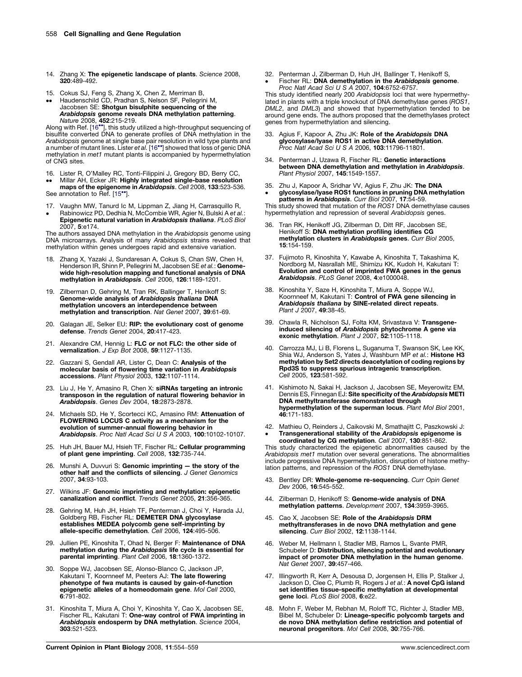- <span id="page-4-0"></span>14. Zhang X: The epigenetic landscape of plants. Science 2008,  $320 \cdot 489 - 492$
- 15. -- Cokus SJ, Feng S, Zhang X, Chen Z, Merriman B, Haudenschild CD, Pradhan S, Nelson SF, Pellegrini M,
- Jacobsen SE: Shotgun bisulphite sequencing of the **Arabidopsis genome reveals DNA methylation patterning.**<br>Nature 2008, **452**:215-219.

Along with Ref. [16\*\*], this study utilized a high-throughput sequencing of<br>bisulfite converted DNA to generate profiles of DNA methylation in the *Arabidopsis* genome at single base pair resolution in wild type plants and<br>a number of mutant lines. Lister e*t al.* [16**\*\***] showed that loss of genic DNA methylation in met1 mutant plants is accompanied by hypermethylation of CNG sites.

- 16. Lister R, O'Malley RC, Tonti-Filippini J, Gregory BD, Berry CC,
- $\bullet\bullet$ Millar AH, Ecker JR: Highly integrated single-base resolution maps of the epigenome in Arabidopsis. Cell 2008, 133:523-536. See annotation to Ref. [15\*].

- 17. 17. Vaughn MW, Tanurd Ic M, Lippman Z, Jiang H, Carrasquillo R,<br>• Rabinowicz PD, Dedhia N, McCombie WR, Agier N, Bulski A e*t al.*:
- Epigenetic natural variation in Arabidopsis thaliana. PLoS Biol 2007, 5:e174.

The authors assayed DNA methylation in the Arabidopsis genome using DNA microarrays. Analysis of many Arabidopsis strains revealed that methylation within genes undergoes rapid and extensive variation.

- Zhang X, Yazaki J, Sundaresan A, Cokus S, Chan SW, Chen H, Henderson IR, Shinn P, Pellegrini M, Jacobsen SE et al.: Genomewide high-resolution mapping and functional analysis of DNA methylation in Arabidopsis. Cell 2006, 126:1189-1201.
- 19. Zilberman D, Gehring M, Tran RK, Ballinger T, Henikoff S: Genome-wide analysis of Arabidopsis thaliana DNA methylation uncovers an interdependence between methylation and transcription. Nat Genet 2007, 39:61-69.
- 20. Galagan JE, Selker EU: RIP: the evolutionary cost of genome defense. Trends Genet 2004, 20:417-423.
- 21. Alexandre CM, Hennig L: FLC or not FLC: the other side of **vernalization**. *J Exp Bot* 2008, 59:1127-1135.
- 22. Gazzani S, Gendall AR, Lister C, Dean C: Analysis of the molecular basis of flowering time variation in Arabidopsis accessions. Plant Physiol 2003, 132:1107-1114.
- 23. Liu J, He Y, Amasino R, Chen X: siRNAs targeting an intronic transposon in the regulation of natural flowering behavior in Arabidopsis. Genes Dev 2004, 18:2873-2878.
- 24. Michaels SD, He Y, Scortecci KC, Amasino RM: Attenuation of FLOWERING LOCUS C activity as a mechanism for the evolution of summer-annual flowering behavior in Arabidopsis. Proc Natl Acad Sci U S A 2003, 100:10102-10107.
- 25. Huh JH, Bauer MJ, Hsieh TF, Fischer RL: Cellular programming of plant gene imprinting. Cell 2008, 132:735-744.
- 26. Munshi A, Duvvuri S: Genomic imprinting the story of the other half and the conflicts of silencing. J Genet Genomics 2007, 34:93-103.
- 27. Wilkins JF: Genomic imprinting and methylation: epigenetic canalization and conflict. Trends Genet 2005, 21:356-365.
- 28. Gehring M, Huh JH, Hsieh TF, Penterman J, Choi Y, Harada JJ,<br>Goldberg RB, Fischer RL: **DEMETER DNA glycosylase** establishes MEDEA polycomb gene self-imprinting by allele-specific demethylation. Cell 2006, 124:495-506.
- 29. Jullien PE, Kinoshita T, Ohad N, Berger F: Maintenance of DNA methylation during the Arabidopsis life cycle is essential for parental imprinting. Plant Cell 2006, 18:1360-1372.
- 30. Soppe WJ, Jacobsen SE, Alonso-Blanco C, Jackson JP,<br>Kakutani T, Koornneef M, Peeters AJ: **The late flowering** phenotype of fwa mutants is caused by gain-of-function epigenetic alleles of a homeodomain gene. Mol Cell 2000, 6:791-802.
- 31. Kinoshita T, Miura A, Choi Y, Kinoshita Y, Cao X, Jacobsen SE, Fischer RL, Kakutani T: One-way control of FWA imprinting in Arabidopsis endosperm by DNA methylation. Science 2004, 303:521-523.

32. Penterman J, Zilberman D, Huh JH, Ballinger T, Henikoff S, -Fischer RL: DNA demethylation in the Arabidopsis genome. Proc Natl Acad Sci U S A 2007, 104:6752-6757.

This study identified nearly 200 Arabidopsis loci that were hypermethylated in plants with a triple knockout of DNA demethylase genes (ROS1, DML2, and DML3) and showed that hypermethylation tended to be around gene ends. The authors proposed that the demethylases protect genes from hypermethylation and silencing.

- 33. Agius F, Kapoor A, Zhu JK: Role of the Arabidopsis DNA glycosylase/lyase ROS1 in active DNA demethylation. Proc Natl Acad Sci U S A 2006, 103:11796-11801.
- 34. Penterman J, Uzawa R, Fischer RL: Genetic interactions between DNA demethylation and methylation in Arabidopsis. Plant Physiol 2007, 145:1549-1557.
- 35. 35. Zhu J, Kapoor A, Sridhar VV, Agius F, Zhu JK: **The DNA**<br>● **glycosylase/lyase ROS1 functions in pruning DNA methylation**

patterns in Arabidopsis. Curr Biol 2007, 17:54-59.<br>This study showed that mutation of the ROS1 DNA demethylase causes hypermethylation and repression of several Arabidopsis genes.

- 36. Tran RK, Henikoff JG, Zilberman D, Ditt RF, Jacobsen SE, Henikoff S: DNA methylation profiling identifies CG methylation clusters in Arabidopsis genes. Curr Biol 2005, 15:154-159.
- 37. Fujimoto R, Kinoshita Y, Kawabe A, Kinoshita T, Takashima K, Nordborg M, Nasrallah ME, Shimizu KK, Kudoh H, Kakutani T: Evolution and control of imprinted FWA genes in the genus Arabidopsis. PLoS Genet 2008, 4:e1000048.
- 38. Kinoshita Y, Saze H, Kinoshita T, Miura A, Soppe WJ, Koornneef M, Kakutani T: Control of FWA gene silencing in Arabidopsis thaliana by SINE-related direct repeats. Plant J 2007, 49:38-45.
- 39. Chawla R, Nicholson SJ, Folta KM, Srivastava V: Transgeneinduced silencing of Arabidopsis phytochrome A gene via<br>exonic methylation. Plant J 2007, 52:1105-1118.
- 40. Carrozza MJ, Li B, Florens L, Suganuma T, Swanson SK, Lee KK, Shia WJ, Anderson S, Yates J, Washburn MP et al.: Histone H3 methylation by Set2 directs deacetylation of coding regions by Rpd3S to suppress spurious intragenic transcription. Cell 2005, 123:581-592.
- 41. Kishimoto N, Sakai H, Jackson J, Jacobsen SE, Meyerowitz EM, Dennis ES, Finnegan EJ: Site specificity of the Arabidopsis METI DNA methyltransferase demonstrated through hypermethylation of the superman locus. Plant Mol Biol 2001, 46:171-183.
- 42. Mathieu O, Reinders J, Caikovski M, Smathajitt C, Paszkowski J: -Transgenerational stability of the Arabidopsis epigenome is coordinated by CG methylation. Cell 2007, 130:851-862.

This study characterized the epigenetic abnormalities caused by the Arabidopsis met1 mutation over several generations. The abnormalities include progressive DNA hypermethylation, disruption of histone methy-lation patterns, and repression of the ROS1 DNA demethylase.

- 43. Bentley DR: Whole-genome re-sequencing. Curr Opin Genet Dev 2006, 16:545-552.
- 44. Zilberman D, Henikoff S: Genome-wide analysis of DNA methylation patterns. Development 2007, 134:3959-3965.
- 45. Cao X, Jacobsen SE: Role of the Arabidopsis DRM methyltransferases in de novo DNA methylation and gene silencing. Curr Biol 2002, 12:1138-1144.
- 46. Weber M, Hellmann I, Stadler MB, Ramos L, Svante PMR, Schubeler D: Distribution, silencing potential and evolutionary impact of promoter DNA methylation in the human genome. Nat Genet 2007, 39:457-466.
- 47. Illingworth R, Kerr A, Desousa D, Jorgensen H, Ellis P, Stalker J, Jackson D, Clee C, Plumb R, Rogers J et al.: A novel CpG island set identifies tissue-specific methylation at developmental gene loci. PLoS Biol 2008, 6:e22.
- 48. Mohn F, Weber M, Rebhan M, Roloff TC, Richter J, Stadler MB, Bibel M, Schubeler D: Lineage-specific polycomb targets and de novo DNA methylation define restriction and potential of neuronal progenitors. Mol Cell 2008, 30:755-766.